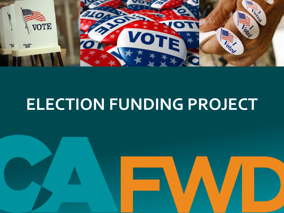

# **ELECTION FUNDING PROJECT**

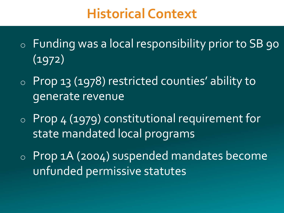#### **Historical Context**

- o Funding was a local responsibility prior to SB 90 (1972)
- o Prop 13 (1978) restricted counties' ability to generate revenue
- o Prop 4 (1979) constitutional requirement for state mandated local programs
- o Prop 1A (2004) suspended mandates become unfunded permissive statutes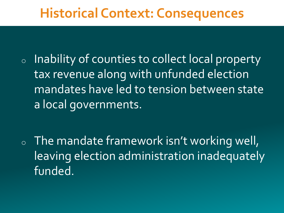#### **Historical Context: Consequences**

<sup>o</sup> Inability of counties to collect local property tax revenue along with unfunded election mandates have led to tension between state a local governments.

 $\circ$  The mandate framework isn't working well, leaving election administration inadequately funded.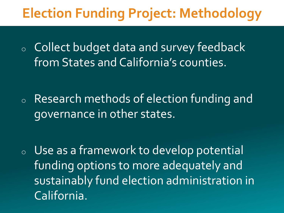## **Election Funding Project: Methodology**

<sup>o</sup> Collect budget data and survey feedback from States and California's counties.

<sup>o</sup> Research methods of election funding and governance in other states.

<sup>o</sup> Use as a framework to develop potential funding options to more adequately and sustainably fund election administration in California.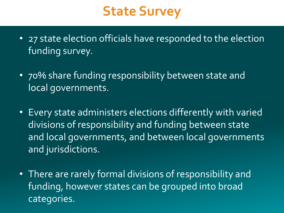#### **State Survey**

- 27 state election officials have responded to the election funding survey.
- 70% share funding responsibility between state and local governments.
- Every state administers elections differently with varied divisions of responsibility and funding between state and local governments, and between local governments and jurisdictions.
- There are rarely formal divisions of responsibility and funding, however states can be grouped into broad categories.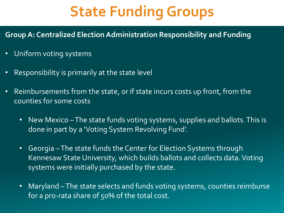# **State Funding Groups**

**Group A: Centralized Election Administration Responsibility and Funding**

- Uniform voting systems
- Responsibility is primarily at the state level
- Reimbursements from the state, or if state incurs costs up front, from the counties for some costs
	- New Mexico –The state funds voting systems, supplies and ballots. This is done in part by a 'Voting System Revolving Fund'.
	- Georgia –The state funds the Center for Election Systems through Kennesaw State University, which builds ballots and collects data. Voting systems were initially purchased by the state.
	- Maryland –The state selects and funds voting systems, counties reimburse for a pro-rata share of 50% of the total cost.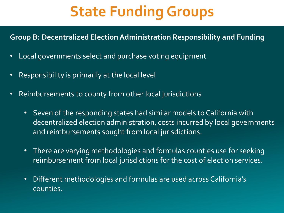# **State Funding Groups**

#### **Group B: Decentralized Election Administration Responsibility and Funding**

- Local governments select and purchase voting equipment
- Responsibility is primarily at the local level
- Reimbursements to county from other local jurisdictions
	- Seven of the responding states had similar models to California with decentralized election administration, costs incurred by local governments and reimbursements sought from local jurisdictions.
	- There are varying methodologies and formulas counties use for seeking reimbursement from local jurisdictions for the cost of election services.
	- Different methodologies and formulas are used across California's counties.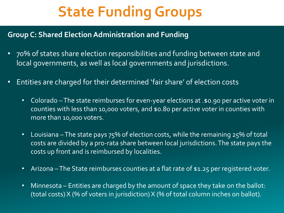# **State Funding Groups**

#### **Group C: Shared Election Administration and Funding**

- 70% of states share election responsibilities and funding between state and local governments, as well as local governments and jurisdictions.
- Entities are charged for their determined 'fair share' of election costs
	- Colorado –The state reimburses for even-year elections at .\$0.90 per active voter in counties with less than 10,000 voters, and \$0.80 per active voter in counties with more than 10,000 voters.
	- Louisiana The state pays 75% of election costs, while the remaining 25% of total costs are divided by a pro-rata share between local jurisdictions. The state pays the costs up front and is reimbursed by localities.
	- Arizona The State reimburses counties at a flat rate of \$1.25 per registered voter.
	- Minnesota Entities are charged by the amount of space they take on the ballot: (total costs) X (% of voters in jurisdiction) X (% of total column inches on ballot).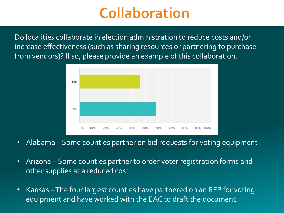## **Collaboration**

Do localities collaborate in election administration to reduce costs and/or increase effectiveness (such as sharing resources or partnering to purchase from vendors)? If so, please provide an example of this collaboration.



- Alabama Some counties partner on bid requests for voting equipment
- Arizona Some counties partner to order voter registration forms and other supplies at a reduced cost
- Kansas –The four largest counties have partnered on an RFP for voting equipment and have worked with the EAC to draft the document.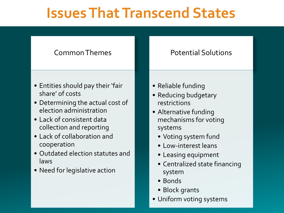## **Issues That Transcend States**

#### Common Themes

- Entities should pay their 'fair share' of costs
- Determining the actual cost of election administration
- Lack of consistent data collection and reporting
- Lack of collaboration and cooperation
- Outdated election statutes and laws
- Need for legislative action
- Reliable funding
- Reducing budgetary restrictions
- Alternative funding mechanisms for voting systems
	- Voting system fund
	- Low-interest leans
	- Leasing equipment
	- Centralized state financing system

Potential Solutions

- Bonds
- Block grants
- Uniform voting systems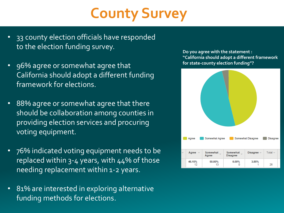# **County Survey**

- 33 county election officials have responded to the election funding survey.
- 96% agree or somewhat agree that California should adopt a different funding framework for elections.
- 88% agree or somewhat agree that there should be collaboration among counties in providing election services and procuring voting equipment.
- 76% indicated voting equipment needs to be replaced within 3-4 years, with 44% of those needing replacement within 1-2 years.
- 81% are interested in exploring alternative funding methods for elections.

**Do you agree with the statement : "California should adopt a different framework for state-county election funding"?**

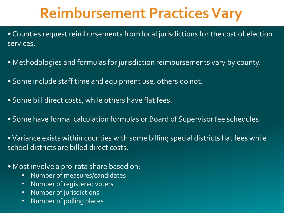# **Reimbursement Practices Vary**

- Counties request reimbursements from local jurisdictions for the cost of election services.
- Methodologies and formulas for jurisdiction reimbursements vary by county.
- Some include staff time and equipment use, others do not.
- Some bill direct costs, while others have flat fees.
- Some have formal calculation formulas or Board of Supervisor fee schedules.
- •Variance exists within counties with some billing special districts flat fees while school districts are billed direct costs.
- Most involve a pro-rata share based on:
	- Number of measures/candidates
	- Number of registered voters
	- Number of jurisdictions
	- Number of polling places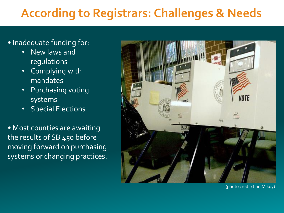#### **According to Registrars: Challenges & Needs**

- Inadequate funding for:
	- New laws and regulations
	- Complying with mandates
	- Purchasing voting systems
	- Special Elections

• Most counties are awaiting the results of SB 450 before moving forward on purchasing systems or changing practices.



(photo credit: Carl Mikoy)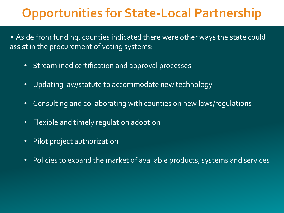#### **Opportunities for State-Local Partnership**

- Aside from funding, counties indicated there were other ways the state could assist in the procurement of voting systems:
	- Streamlined certification and approval processes
	- Updating law/statute to accommodate new technology
	- Consulting and collaborating with counties on new laws/regulations
	- Flexible and timely regulation adoption
	- Pilot project authorization
	- Policies to expand the market of available products, systems and services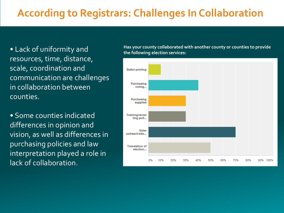#### **According to Registrars: Challenges In Collaboration**

• Lack of uniformity and resources, time, distance, scale, coordination and communication are challenges in collaboration between counties.

• Some counties indicated differences in opinion and vision, as well as differences in purchasing policies and law interpretation played a role in lack of collaboration.

**Has your county collaborated with another county or counties to provide the following election services:**

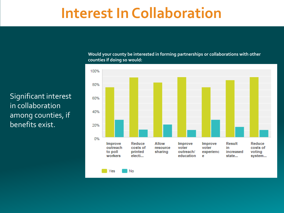#### **Interest In Collaboration**

Significant interest in collaboration among counties, if benefits exist.

**Would your county be interested in forming partnerships or collaborations with other counties if doing so would:**

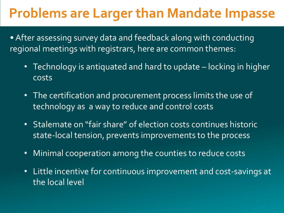#### **Problems are Larger than Mandate Impasse**

• After assessing survey data and feedback along with conducting regional meetings with registrars, here are common themes:

- Technology is antiquated and hard to update locking in higher costs
- The certification and procurement process limits the use of technology as a way to reduce and control costs
- Stalemate on "fair share" of election costs continues historic state-local tension, prevents improvements to the process
- Minimal cooperation among the counties to reduce costs
- Little incentive for continuous improvement and cost-savings at the local level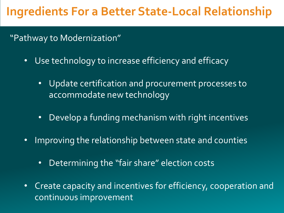#### **Ingredients For a Better State-Local Relationship**

#### "Pathway to Modernization"

- Use technology to increase efficiency and efficacy
	- Update certification and procurement processes to accommodate new technology
	- Develop a funding mechanism with right incentives
- Improving the relationship between state and counties
	- Determining the "fair share" election costs
- Create capacity and incentives for efficiency, cooperation and continuous improvement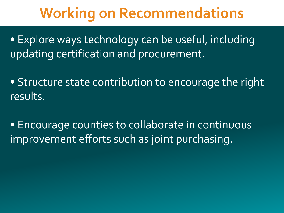## **Working on Recommendations**

• Explore ways technology can be useful, including updating certification and procurement.

• Structure state contribution to encourage the right results.

• Encourage counties to collaborate in continuous improvement efforts such as joint purchasing.